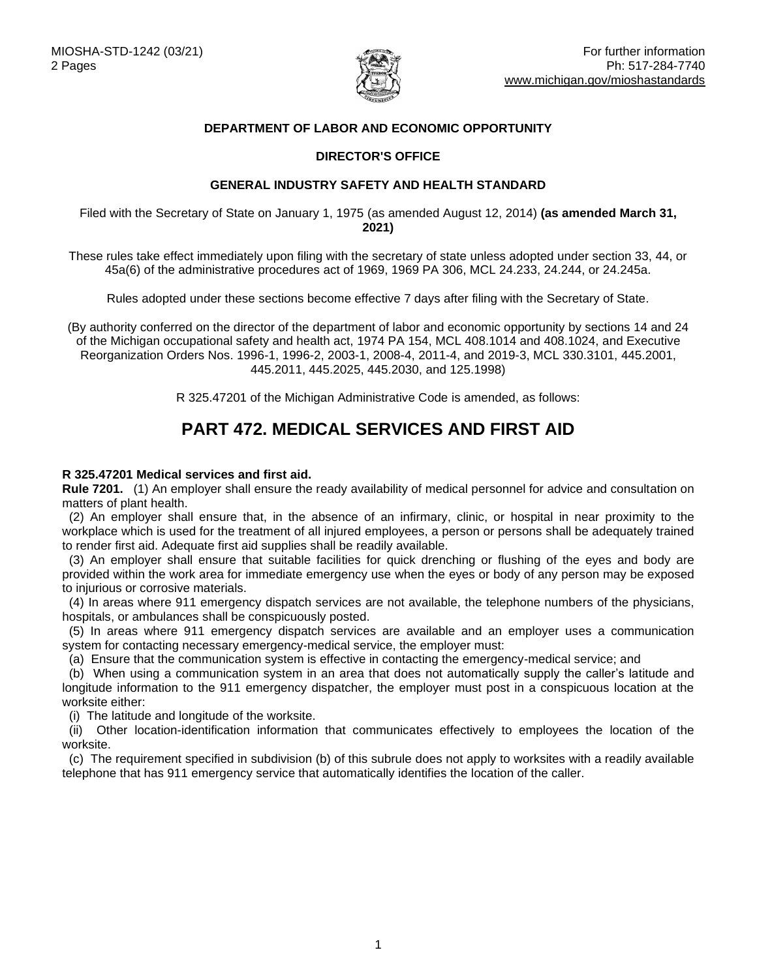

## **DEPARTMENT OF LABOR AND ECONOMIC OPPORTUNITY**

## **DIRECTOR'S OFFICE**

## **GENERAL INDUSTRY SAFETY AND HEALTH STANDARD**

Filed with the Secretary of State on January 1, 1975 (as amended August 12, 2014) **(as amended March 31, 2021)**

These rules take effect immediately upon filing with the secretary of state unless adopted under section 33, 44, or 45a(6) of the administrative procedures act of 1969, 1969 PA 306, MCL 24.233, 24.244, or 24.245a.

Rules adopted under these sections become effective 7 days after filing with the Secretary of State.

(By authority conferred on the director of the department of labor and economic opportunity by sections 14 and 24 of the Michigan occupational safety and health act, 1974 PA 154, MCL 408.1014 and 408.1024, and Executive Reorganization Orders Nos. 1996-1, 1996-2, 2003-1, 2008-4, 2011-4, and 2019-3, MCL 330.3101, 445.2001, 445.2011, 445.2025, 445.2030, and 125.1998)

R 325.47201 of the Michigan Administrative Code is amended, as follows:

# **PART 472. MEDICAL SERVICES AND FIRST AID**

#### **R 325.47201 Medical services and first aid.**

**Rule 7201.** (1) An employer shall ensure the ready availability of medical personnel for advice and consultation on matters of plant health.

 (2) An employer shall ensure that, in the absence of an infirmary, clinic, or hospital in near proximity to the workplace which is used for the treatment of all injured employees, a person or persons shall be adequately trained to render first aid. Adequate first aid supplies shall be readily available.

 (3) An employer shall ensure that suitable facilities for quick drenching or flushing of the eyes and body are provided within the work area for immediate emergency use when the eyes or body of any person may be exposed to injurious or corrosive materials.

 (4) In areas where 911 emergency dispatch services are not available, the telephone numbers of the physicians, hospitals, or ambulances shall be conspicuously posted.

 (5) In areas where 911 emergency dispatch services are available and an employer uses a communication system for contacting necessary emergency-medical service, the employer must:

(a) Ensure that the communication system is effective in contacting the emergency-medical service; and

 (b) When using a communication system in an area that does not automatically supply the caller's latitude and longitude information to the 911 emergency dispatcher, the employer must post in a conspicuous location at the worksite either:

(i) The latitude and longitude of the worksite.

 (ii) Other location-identification information that communicates effectively to employees the location of the worksite.

(c) The requirement specified in subdivision (b) of this subrule does not apply to worksites with a readily available telephone that has 911 emergency service that automatically identifies the location of the caller.